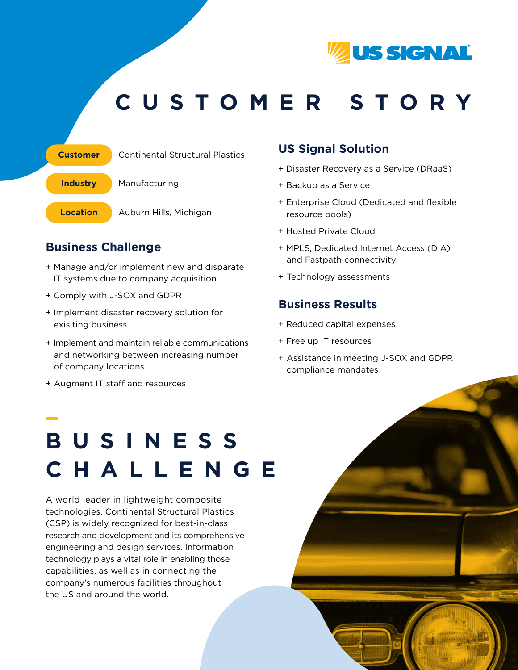

### **CUSTOMER STORY**



### **Business Challenge**

- + Manage and/or implement new and disparate IT systems due to company acquisition
- + Comply with J-SOX and GDPR
- + Implement disaster recovery solution for exisiting business
- + Implement and maintain reliable communications and networking between increasing number of company locations
- + Augment IT staff and resources

#### **US Signal Solution**

- + Disaster Recovery as a Service (DRaaS)
- + Backup as a Service
- + Enterprise Cloud (Dedicated and flexible resource pools)
- + Hosted Private Cloud
- + MPLS, Dedicated Internet Access (DIA) and Fastpath connectivity
- + Technology assessments

#### **Business Results**

- + Reduced capital expenses
- + Free up IT resources
- + Assistance in meeting J-SOX and GDPR compliance mandates

# **BUSINESS CHALLENGE**

A world leader in lightweight composite technologies, Continental Structural Plastics (CSP) is widely recognized for best-in-class research and development and its comprehensive engineering and design services. Information technology plays a vital role in enabling those capabilities, as well as in connecting the company's numerous facilities throughout the US and around the world.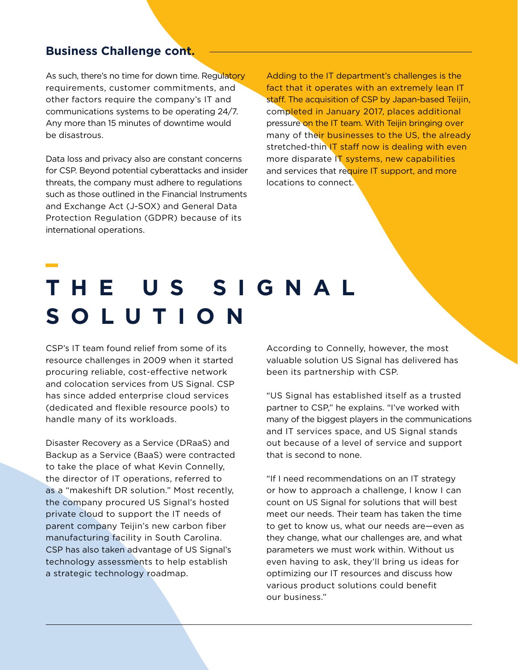#### **Business Challenge cont.**

As such, there's no time for down time. Regulatory requirements, customer commitments, and other factors require the company's IT and communications systems to be operating 24/7. Any more than 15 minutes of downtime would be disastrous.

Data loss and privacy also are constant concerns for CSP. Beyond potential cyberattacks and insider threats, the company must adhere to regulations such as those outlined in the Financial Instruments and Exchange Act (J-SOX) and General Data Protection Regulation (GDPR) because of its international operations.

Adding to the IT department's challenges is the fact that it operates with an extremely lean IT staff. The acquisition of CSP by Japan-based Teijin, completed in January 2017, places additional pressure on the IT team. With Teijin bringing over many of their businesses to the US, the already stretched-thin IT staff now is dealing with even more disparate IT systems, new capabilities and services that require IT support, and more locations to connect.

## **THE US SIGNAL SOLUTION**

CSP's IT team found relief from some of its resource challenges in 2009 when it started procuring reliable, cost-effective network and colocation services from US Signal. CSP has since added enterprise cloud services (dedicated and flexible resource pools) to handle many of its workloads.

Disaster Recovery as a Service (DRaaS) and Backup as a Service (BaaS) were contracted to take the place of what Kevin Connelly, the director of IT operations, referred to as a "makeshift DR solution." Most recently, the company procured US Signal's hosted private cloud to support the IT needs of parent company Teijin's new carbon fiber manufacturing facility in South Carolina. CSP has also taken advantage of US Signal's technology assessments to help establish a strategic technology roadmap.

According to Connelly, however, the most valuable solution US Signal has delivered has been its partnership with CSP.

"US Signal has established itself as a trusted partner to CSP," he explains. "I've worked with many of the biggest players in the communications and IT services space, and US Signal stands out because of a level of service and support that is second to none.

"If I need recommendations on an IT strategy or how to approach a challenge, I know I can count on US Signal for solutions that will best meet our needs. Their team has taken the time to get to know us, what our needs are—even as they change, what our challenges are, and what parameters we must work within. Without us even having to ask, they'll bring us ideas for optimizing our IT resources and discuss how various product solutions could benefit our business."